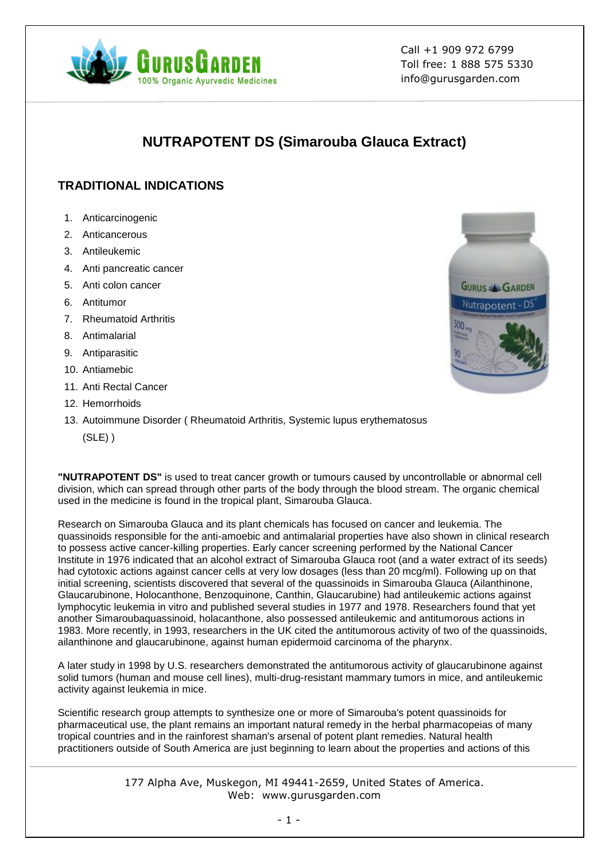

Call +1 909 972 6799 Toll free: 1 888 575 5330 info@gurusgarden.com

# **NUTRAPOTENT DS (Simarouba Glauca Extract)**

## **TRADITIONAL INDICATIONS**

- 1. Anticarcinogenic
- 2. Anticancerous
- 3. Antileukemic
- 4. Anti pancreatic cancer
- 5. Anti colon cancer
- 6. Antitumor
- 7. Rheumatoid Arthritis
- 8. Antimalarial
- 9. Antiparasitic
- 10. Antiamebic
- 11. Anti Rectal Cancer
- 12. Hemorrhoids
- **GURUS & GARDEN** Nutrapotent - DS
- 13. Autoimmune Disorder ( Rheumatoid Arthritis, Systemic lupus erythematosus (SLE) )

**"NUTRAPOTENT DS"** is used to treat cancer growth or tumours caused by uncontrollable or abnormal cell division, which can spread through other parts of the body through the blood stream. The organic chemical used in the medicine is found in the tropical plant, Simarouba Glauca.

Research on Simarouba Glauca and its plant chemicals has focused on cancer and leukemia. The quassinoids responsible for the anti-amoebic and antimalarial properties have also shown in clinical research to possess active cancer-killing properties. Early cancer screening performed by the National Cancer Institute in 1976 indicated that an alcohol extract of Simarouba Glauca root (and a water extract of its seeds) had cytotoxic actions against cancer cells at very low dosages (less than 20 mcg/ml). Following up on that initial screening, scientists discovered that several of the quassinoids in Simarouba Glauca (Ailanthinone, Glaucarubinone, Holocanthone, Benzoquinone, Canthin, Glaucarubine) had antileukemic actions against lymphocytic leukemia in vitro and published several studies in 1977 and 1978. Researchers found that yet another Simaroubaquassinoid, holacanthone, also possessed antileukemic and antitumorous actions in 1983. More recently, in 1993, researchers in the UK cited the antitumorous activity of two of the quassinoids, ailanthinone and glaucarubinone, against human epidermoid carcinoma of the pharynx.

A later study in 1998 by U.S. researchers demonstrated the antitumorous activity of glaucarubinone against solid tumors (human and mouse cell lines), multi-drug-resistant mammary tumors in mice, and antileukemic activity against leukemia in mice.

Scientific research group attempts to synthesize one or more of Simarouba's potent quassinoids for pharmaceutical use, the plant remains an important natural remedy in the herbal pharmacopeias of many tropical countries and in the rainforest shaman's arsenal of potent plant remedies. Natural health practitioners outside of South America are just beginning to learn about the properties and actions of this

> 177 Alpha Ave, Muskegon, MI 49441-2659, United States of America. Web: www.gurusgarden.com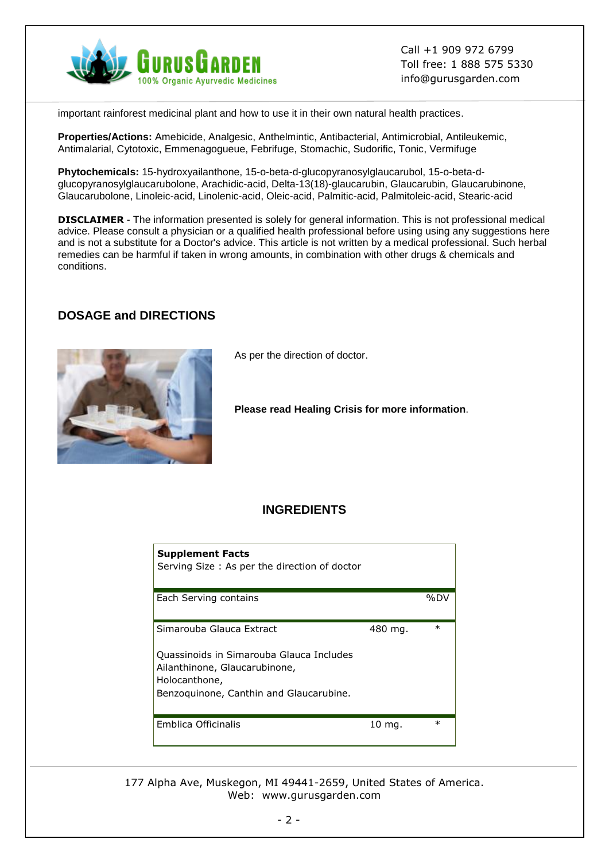

Call +1 909 972 6799 Toll free: 1 888 575 5330 info@gurusgarden.com

important rainforest medicinal plant and how to use it in their own natural health practices.

**Properties/Actions:** Amebicide, Analgesic, Anthelmintic, Antibacterial, Antimicrobial, Antileukemic, Antimalarial, Cytotoxic, Emmenagogueue, Febrifuge, Stomachic, Sudorific, Tonic, Vermifuge

**Phytochemicals:** 15-hydroxyailanthone, 15-o-beta-d-glucopyranosylglaucarubol, 15-o-beta-dglucopyranosylglaucarubolone, Arachidic-acid, Delta-13(18)-glaucarubin, Glaucarubin, Glaucarubinone, Glaucarubolone, Linoleic-acid, Linolenic-acid, Oleic-acid, Palmitic-acid, Palmitoleic-acid, Stearic-acid

**DISCLAIMER** - The information presented is solely for general information. This is not professional medical advice. Please consult a physician or a qualified health professional before using using any suggestions here and is not a substitute for a Doctor's advice. This article is not written by a medical professional. Such herbal remedies can be harmful if taken in wrong amounts, in combination with other drugs & chemicals and conditions.

#### **DOSAGE and DIRECTIONS**



As per the direction of doctor.

**Please read Healing Crisis for more information**.

#### **INGREDIENTS**

| <b>Supplement Facts</b><br>Serving Size: As per the direction of doctor                                                                                           |         |        |
|-------------------------------------------------------------------------------------------------------------------------------------------------------------------|---------|--------|
| Each Serving contains                                                                                                                                             |         | %DV    |
| Simarouba Glauca Extract<br>Quassinoids in Simarouba Glauca Includes<br>Ailanthinone, Glaucarubinone,<br>Holocanthone,<br>Benzoguinone, Canthin and Glaucarubine. | 480 mg. | $\ast$ |
| <b>Emblica Officinalis</b>                                                                                                                                        | 10 mg.  | $\ast$ |

177 Alpha Ave, Muskegon, MI 49441-2659, United States of America. Web: www.gurusgarden.com